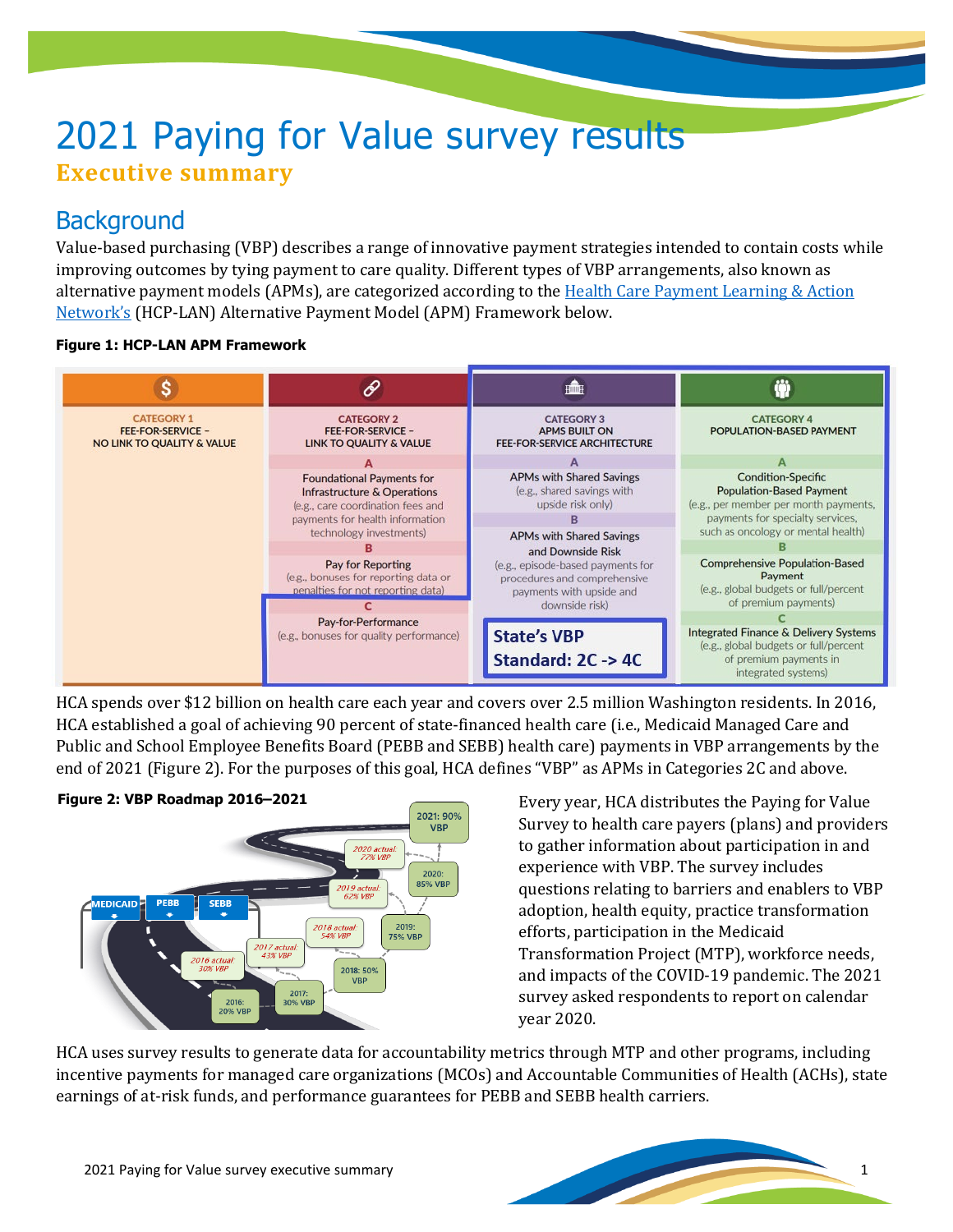# 2021 Paying for Value survey results **Executive summary**

## **Background**

Value-based purchasing (VBP) describes a range of innovative payment strategies intended to contain costs while improving outcomes by tying payment to care quality. Different types of VBP arrangements, also known as alternative payment models (APMs), are categorized according to the Health Care Payment Learning & Action [Network's](https://hcp-lan.org/apm-framework/) (HCP-LAN) Alternative Payment Model (APM) Framework below.

#### **Figure 1: HCP-LAN APM Framework**



HCA spends over \$12 billion on health care each year and covers over 2.5 million Washington residents. In 2016, HCA established a goal of achieving 90 percent of state-financed health care (i.e., Medicaid Managed Care and Public and School Employee Benefits Board (PEBB and SEBB) health care) payments in VBP arrangements by the end of 2021 (Figure 2). For the purposes of this goal, HCA defines "VBP" as APMs in Categories 2C and above.



Every year, HCA distributes the Paying for Value Survey to health care payers (plans) and providers to gather information about participation in and experience with VBP. The survey includes questions relating to barriers and enablers to VBP adoption, health equity, practice transformation efforts, participation in the Medicaid Transformation Project (MTP), workforce needs, and impacts of the COVID-19 pandemic. The 2021 survey asked respondents to report on calendar year 2020.

HCA uses survey results to generate data for accountability metrics through MTP and other programs, including incentive payments for managed care organizations (MCOs) and Accountable Communities of Health (ACHs), state earnings of at-risk funds, and performance guarantees for PEBB and SEBB health carriers.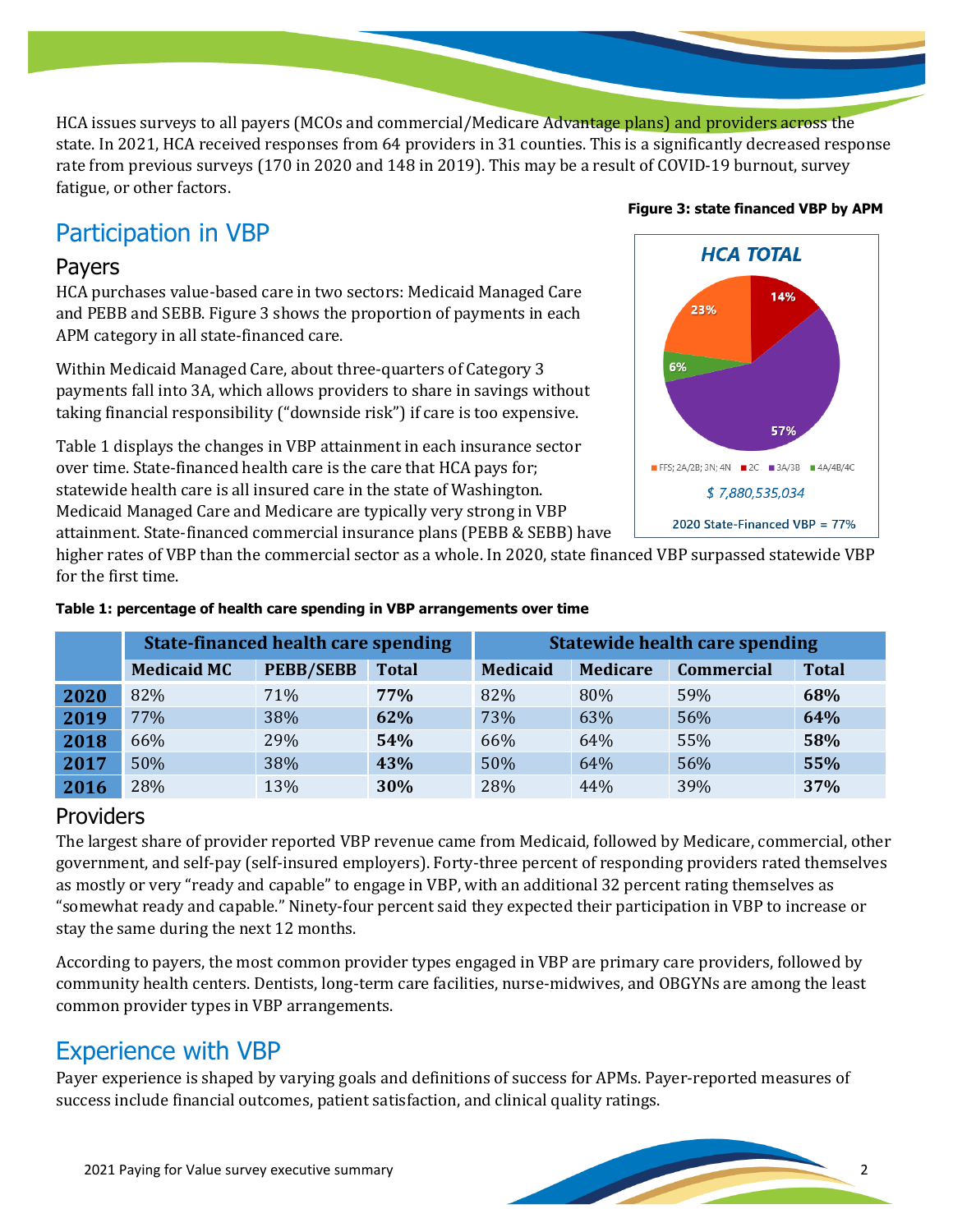HCA issues surveys to all payers (MCOs and commercial/Medicare Advantage plans) and providers across the state. In 2021, HCA received responses from 64 providers in 31 counties. This is a significantly decreased response rate from previous surveys (170 in 2020 and 148 in 2019). This may be a result of COVID-19 burnout, survey fatigue, or other factors.

# Participation in VBP

#### Payers

HCA purchases value-based care in two sectors: Medicaid Managed Care and PEBB and SEBB. Figure 3 shows the proportion of payments in each APM category in all state-financed care.

Within Medicaid Managed Care, about three-quarters of Category 3 payments fall into 3A, which allows providers to share in savings without taking financial responsibility ("downside risk") if care is too expensive.

Table 1 displays the changes in VBP attainment in each insurance sector over time. State-financed health care is the care that HCA pays for; statewide health care is all insured care in the state of Washington. Medicaid Managed Care and Medicare are typically very strong in VBP attainment. State-financed commercial insurance plans (PEBB & SEBB) have

# **Figure 3: state financed VBP by APMHCA TOTAL**



higher rates of VBP than the commercial sector as a whole. In 2020, state financed VBP surpassed statewide VBP for the first time.

|      | <b>State-financed health care spending</b> |                  |              | <b>Statewide health care spending</b> |                 |                   |              |
|------|--------------------------------------------|------------------|--------------|---------------------------------------|-----------------|-------------------|--------------|
|      | <b>Medicaid MC</b>                         | <b>PEBB/SEBB</b> | <b>Total</b> | <b>Medicaid</b>                       | <b>Medicare</b> | <b>Commercial</b> | <b>Total</b> |
| 2020 | 82%                                        | 71%              | 77%          | 82%                                   | 80%             | 59%               | 68%          |
| 2019 | 77%                                        | 38%              | 62%          | 73%                                   | 63%             | 56%               | 64%          |
| 2018 | 66%                                        | 29%              | 54%          | 66%                                   | 64%             | 55%               | 58%          |
| 2017 | 50%                                        | 38%              | 43%          | 50%                                   | 64%             | 56%               | 55%          |
| 2016 | 28%                                        | 13%              | 30%          | 28%                                   | 44%             | 39%               | 37%          |

#### **Table 1: percentage of health care spending in VBP arrangements over time**

### Providers

The largest share of provider reported VBP revenue came from Medicaid, followed by Medicare, commercial, other government, and self-pay (self-insured employers). Forty-three percent of responding providers rated themselves as mostly or very "ready and capable" to engage in VBP, with an additional 32 percent rating themselves as "somewhat ready and capable." Ninety-four percent said they expected their participation in VBP to increase or stay the same during the next 12 months.

According to payers, the most common provider types engaged in VBP are primary care providers, followed by community health centers. Dentists, long-term care facilities, nurse-midwives, and OBGYNs are among the least common provider types in VBP arrangements.

# Experience with VBP

Payer experience is shaped by varying goals and definitions of success for APMs. Payer-reported measures of success include financial outcomes, patient satisfaction, and clinical quality ratings.

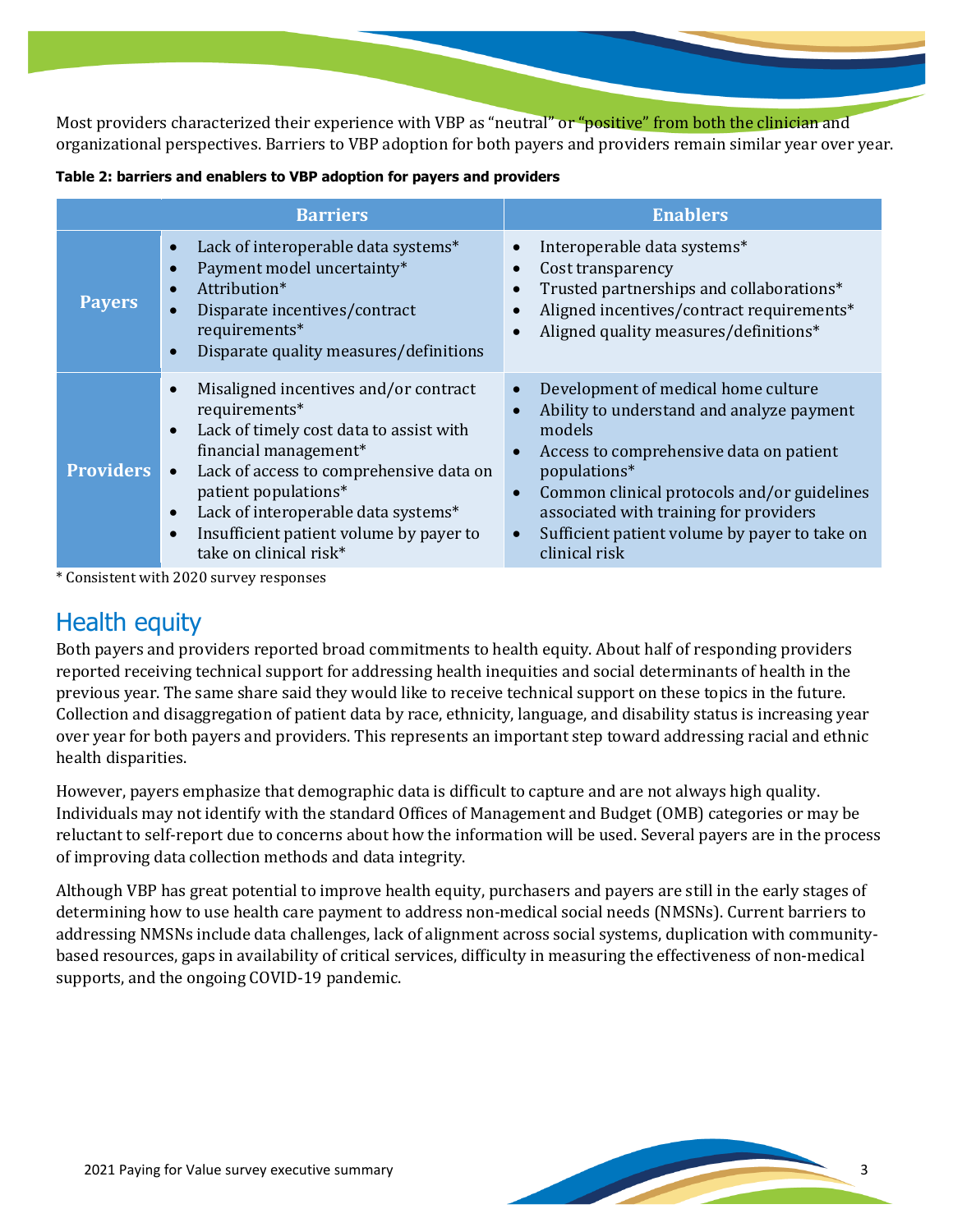Most providers characterized their experience with VBP as "neutral" or "positive" from both the clinician and organizational perspectives. Barriers to VBP adoption for both payers and providers remain similar year over year.

|                  | <b>Barriers</b>                                                                                                                                                                                                                                                                                                                                                            | <b>Enablers</b>                                                                                                                                                                                                                                                                                                                                                                   |
|------------------|----------------------------------------------------------------------------------------------------------------------------------------------------------------------------------------------------------------------------------------------------------------------------------------------------------------------------------------------------------------------------|-----------------------------------------------------------------------------------------------------------------------------------------------------------------------------------------------------------------------------------------------------------------------------------------------------------------------------------------------------------------------------------|
| <b>Payers</b>    | Lack of interoperable data systems*<br>$\bullet$<br>Payment model uncertainty*<br>$\bullet$<br>Attribution*<br>$\bullet$<br>Disparate incentives/contract<br>requirements*<br>Disparate quality measures/definitions<br>$\bullet$                                                                                                                                          | Interoperable data systems*<br>$\bullet$<br>Cost transparency<br>$\bullet$<br>Trusted partnerships and collaborations*<br>$\bullet$<br>Aligned incentives/contract requirements*<br>$\bullet$<br>Aligned quality measures/definitions*<br>$\bullet$                                                                                                                               |
| <b>Providers</b> | Misaligned incentives and/or contract<br>$\bullet$<br>requirements*<br>Lack of timely cost data to assist with<br>$\bullet$<br>financial management*<br>Lack of access to comprehensive data on<br>$\bullet$<br>patient populations*<br>Lack of interoperable data systems*<br>$\bullet$<br>Insufficient patient volume by payer to<br>$\bullet$<br>take on clinical risk* | Development of medical home culture<br>$\bullet$<br>Ability to understand and analyze payment<br>$\bullet$<br>models<br>Access to comprehensive data on patient<br>$\bullet$<br>populations*<br>Common clinical protocols and/or guidelines<br>$\bullet$<br>associated with training for providers<br>Sufficient patient volume by payer to take on<br>$\bullet$<br>clinical risk |

\* Consistent with 2020 survey responses

## Health equity

Both payers and providers reported broad commitments to health equity. About half of responding providers reported receiving technical support for addressing health inequities and social determinants of health in the previous year. The same share said they would like to receive technical support on these topics in the future. Collection and disaggregation of patient data by race, ethnicity, language, and disability status is increasing year over year for both payers and providers. This represents an important step toward addressing racial and ethnic health disparities.

However, payers emphasize that demographic data is difficult to capture and are not always high quality. Individuals may not identify with the standard Offices of Management and Budget (OMB) categories or may be reluctant to self-report due to concerns about how the information will be used. Several payers are in the process of improving data collection methods and data integrity.

Although VBP has great potential to improve health equity, purchasers and payers are still in the early stages of determining how to use health care payment to address non-medical social needs (NMSNs). Current barriers to addressing NMSNs include data challenges, lack of alignment across social systems, duplication with communitybased resources, gaps in availability of critical services, difficulty in measuring the effectiveness of non-medical supports, and the ongoing COVID-19 pandemic.